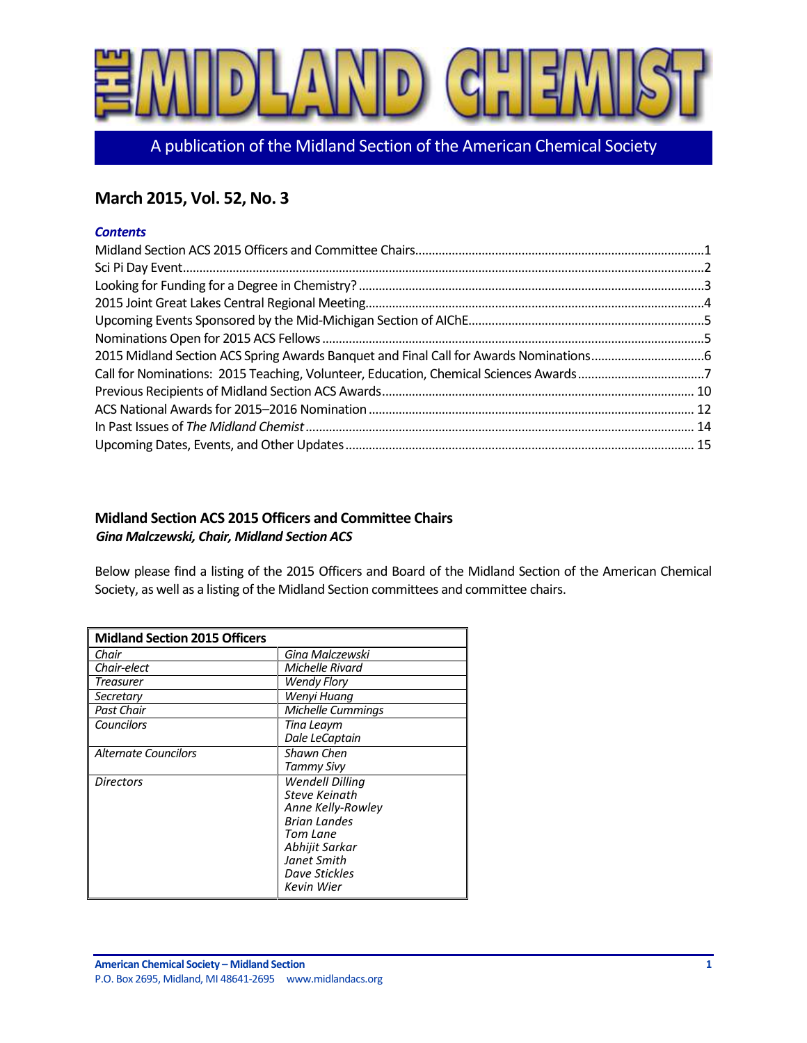

A publication of the Midland Section of the American Chemical Society

# **March 2015, Vol. 52, No. 3**

## *Contents*

| Call for Nominations: 2015 Teaching, Volunteer, Education, Chemical Sciences Awards7 |  |
|--------------------------------------------------------------------------------------|--|
|                                                                                      |  |
|                                                                                      |  |
|                                                                                      |  |
|                                                                                      |  |

# <span id="page-0-0"></span>**Midland Section ACS 2015 Officers and Committee Chairs** *Gina Malczewski, Chair, Midland Section ACS*

Below please find a listing of the 2015 Officers and Board of the Midland Section of the American Chemical Society, as well as a listing of the Midland Section committees and committee chairs.

| <b>Midland Section 2015 Officers</b> |                          |
|--------------------------------------|--------------------------|
| Chair                                | Gina Malczewski          |
| Chair-elect                          | Michelle Rivard          |
| Treasurer                            | <b>Wendy Flory</b>       |
| Secretary                            | Wenyi Huana              |
| <b>Past Chair</b>                    | <b>Michelle Cummings</b> |
| Councilors                           | Tina Leaym               |
|                                      | Dale LeCaptain           |
| <b>Alternate Councilors</b>          | Shawn Chen               |
|                                      | Tammy Sivy               |
| <b>Directors</b>                     | <b>Wendell Dilling</b>   |
|                                      | <b>Steve Keinath</b>     |
|                                      | Anne Kelly-Rowley        |
|                                      | <b>Brian Landes</b>      |
|                                      | Tom Lane                 |
|                                      | Abhijit Sarkar           |
|                                      | Janet Smith              |
|                                      | Dave Stickles            |
|                                      | Kevin Wier               |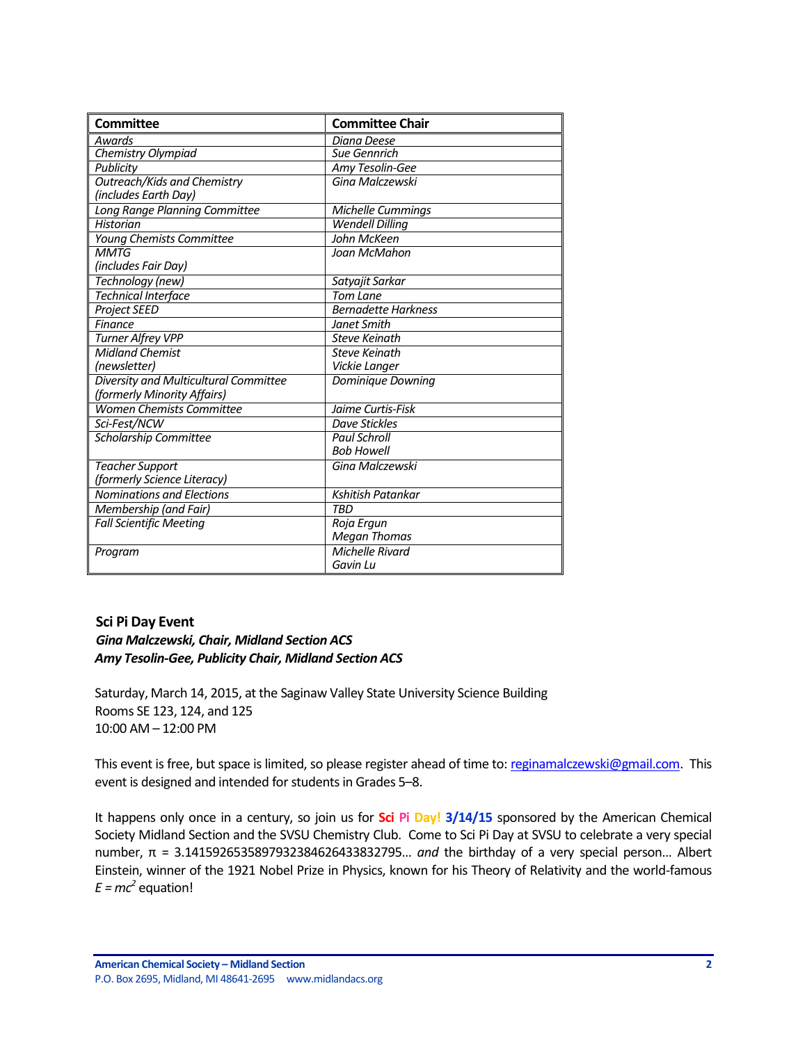| <b>Committee</b>                      | <b>Committee Chair</b>     |
|---------------------------------------|----------------------------|
| <b>Awards</b>                         | Diana Deese                |
| Chemistry Olympiad                    | <b>Sue Gennrich</b>        |
| Publicity                             | Amy Tesolin-Gee            |
| <b>Outreach/Kids and Chemistry</b>    | Gina Malczewski            |
| (includes Earth Day)                  |                            |
| Long Range Planning Committee         | Michelle Cummings          |
| <b>Historian</b>                      | <b>Wendell Dilling</b>     |
| Young Chemists Committee              | John McKeen                |
| <b>MMTG</b>                           | Joan McMahon               |
| (includes Fair Day)                   |                            |
| Technology (new)                      | Satyajit Sarkar            |
| <b>Technical Interface</b>            | <b>Tom Lane</b>            |
| <b>Project SEED</b>                   | <b>Bernadette Harkness</b> |
| Finance                               | Janet Smith                |
| Turner Alfrey VPP                     | <b>Steve Keinath</b>       |
| <b>Midland Chemist</b>                | <b>Steve Keinath</b>       |
| (newsletter)                          | Vickie Langer              |
| Diversity and Multicultural Committee | Dominique Downing          |
| (formerly Minority Affairs)           |                            |
| <b>Women Chemists Committee</b>       | Jaime Curtis-Fisk          |
| Sci-Fest/NCW                          | Dave Stickles              |
| <b>Scholarship Committee</b>          | <b>Paul Schroll</b>        |
|                                       | <b>Bob Howell</b>          |
| <b>Teacher Support</b>                | Gina Malczewski            |
| (formerly Science Literacy)           |                            |
| <b>Nominations and Elections</b>      | Kshitish Patankar          |
| Membership (and Fair)                 | <b>TRD</b>                 |
| <b>Fall Scientific Meeting</b>        | Roja Ergun                 |
|                                       | <b>Megan Thomas</b>        |
| Program                               | Michelle Rivard            |
|                                       | Gavin Lu                   |

## <span id="page-1-0"></span>**Sci Pi Day Event**

## *Gina Malczewski, Chair, Midland Section ACS Amy Tesolin-Gee, Publicity Chair, Midland Section ACS*

Saturday, March 14, 2015, at the Saginaw Valley State University Science Building Rooms SE 123, 124, and 125 10:00 AM – 12:00 PM

This event is free, but space is limited, so please register ahead of time to[: reginamalczewski@gmail.com.](mailto:reginamalczewski@gmail.com) This event is designed and intended for students in Grades 5–8.

It happens only once in a century, so join us for **Sci Pi Day! 3/14/15** sponsored by the American Chemical Society Midland Section and the SVSU Chemistry Club. Come to Sci Pi Day at SVSU to celebrate a very special number, π = 3.1415926535897932384626433832795… *and* the birthday of a very special person… Albert Einstein, winner of the 1921 Nobel Prize in Physics, known for his Theory of Relativity and the world-famous  $E = mc^2$  equation!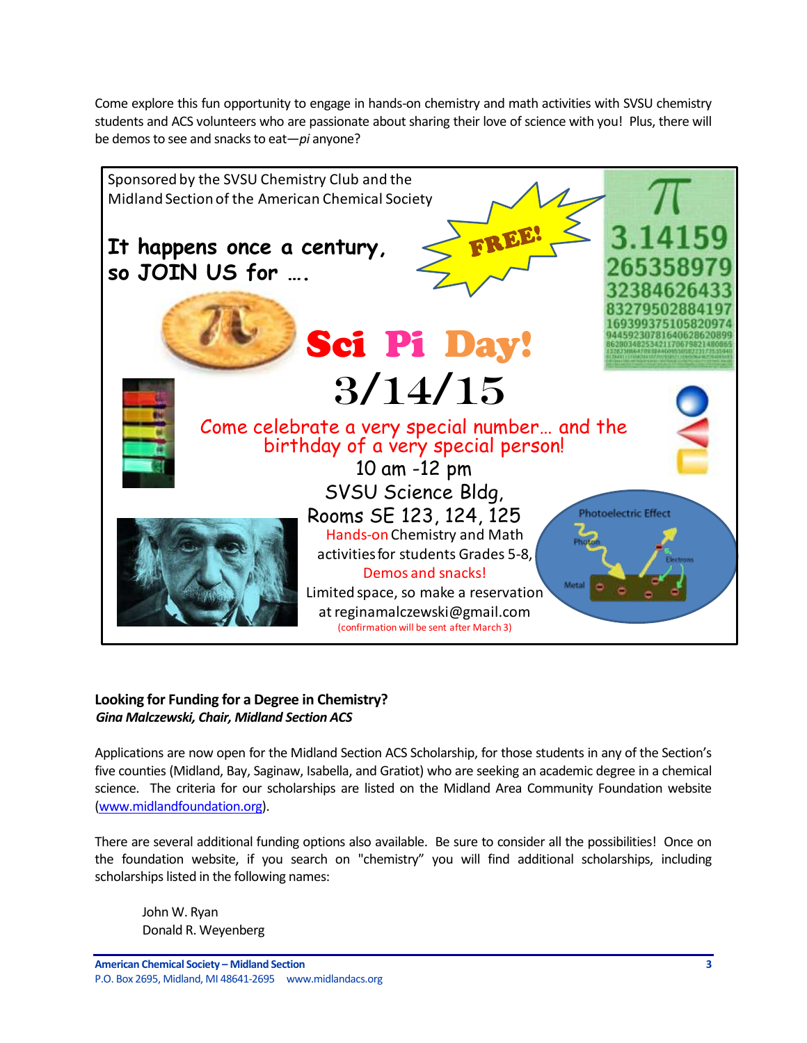Come explore this fun opportunity to engage in hands-on chemistry and math activities with SVSU chemistry students and ACS volunteers who are passionate about sharing their love of science with you! Plus, there will be demos to see and snacks to eat—*pi* anyone?



# <span id="page-2-0"></span>**Looking for Funding for a Degree in Chemistry?** *Gina Malczewski, Chair, Midland Section ACS*

Applications are now open for the Midland Section ACS Scholarship, for those students in any of the Section's five counties (Midland, Bay, Saginaw, Isabella, and Gratiot) who are seeking an academic degree in a chemical science. The criteria for our scholarships are listed on the Midland Area Community Foundation website [\(www.midlandfoundation.org\)](http://www.midlandfoundation.org/).

There are several additional funding options also available. Be sure to consider all the possibilities! Once on the foundation website, if you search on "chemistry" you will find additional scholarships, including scholarships listed in the following names:

John W. Ryan Donald R. Weyenberg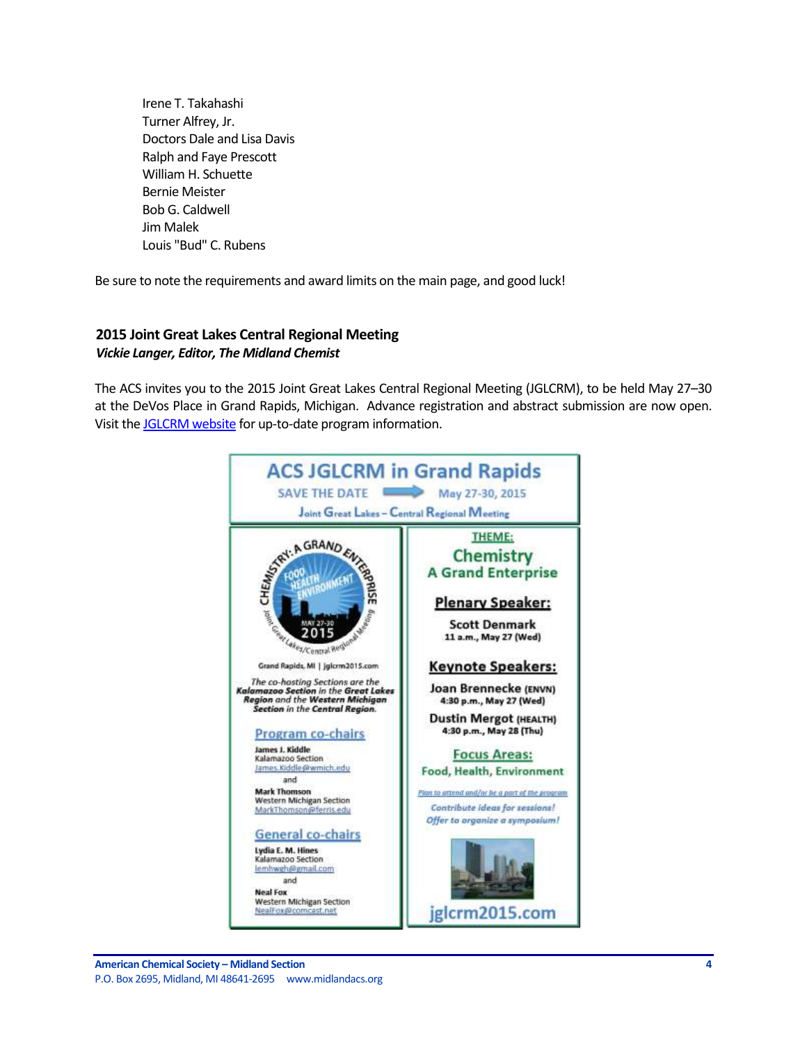Irene T. Takahashi Turner Alfrey, Jr. Doctors Dale and Lisa Davis Ralph and Faye Prescott William H. Schuette Bernie Meister Bob G. Caldwell Jim Malek Louis "Bud" C. Rubens

Be sure to note the requirements and award limits on the main page, and good luck!

## <span id="page-3-0"></span>**2015 Joint Great Lakes Central Regional Meeting** *Vickie Langer, Editor, The Midland Chemist*

The ACS invites you to the 2015 Joint Great Lakes Central Regional Meeting (JGLCRM), to be held May 27–30 at the DeVos Place in Grand Rapids, Michigan. Advance registration and abstract submission are now open. Visit th[e JGLCRM website](http://www.mmsend73.com/link.cfm?r=861224567&sid=66044059&m=8917168&u=ACS1&j=25657761&s=http://www.jglcrm2015.com) for up-to-date program information.

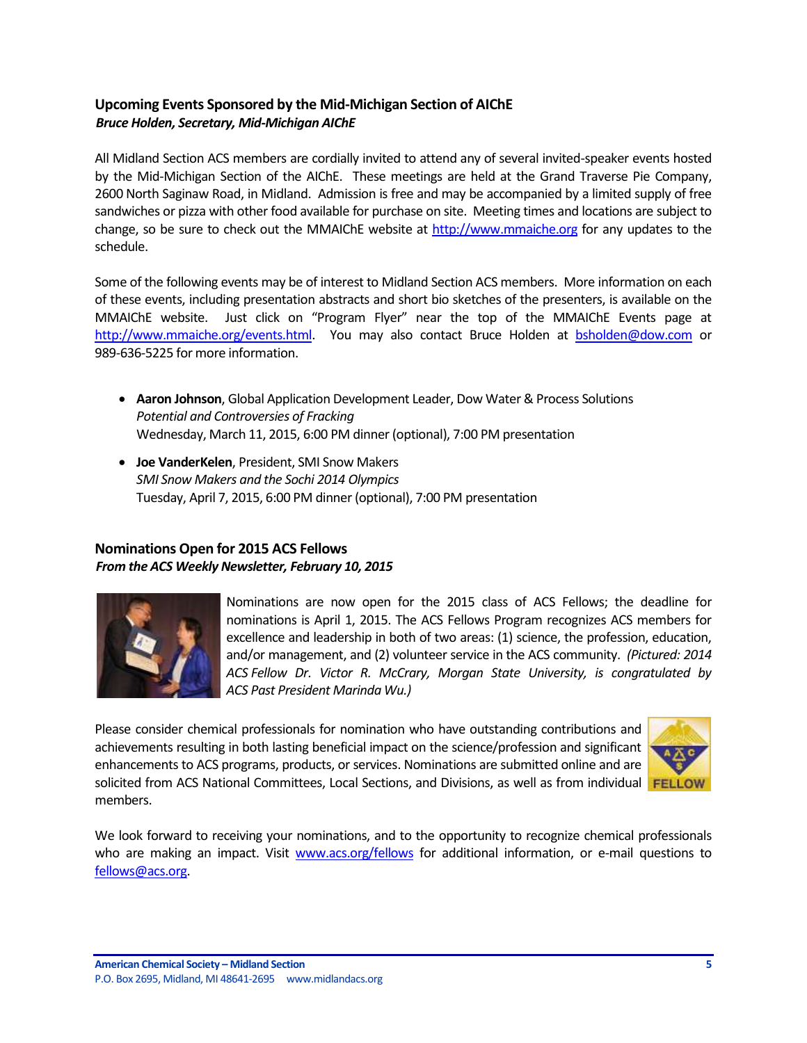# <span id="page-4-0"></span>**Upcoming Events Sponsored by the Mid-Michigan Section of AIChE** *Bruce Holden, Secretary, Mid-Michigan AIChE*

All Midland Section ACS members are cordially invited to attend any of several invited-speaker events hosted by the Mid-Michigan Section of the AIChE. These meetings are held at the Grand Traverse Pie Company, 2600 North Saginaw Road, in Midland. Admission is free and may be accompanied by a limited supply of free sandwiches or pizza with other food available for purchase on site. Meeting times and locations are subject to change, so be sure to check out the MMAIChE website at [http://www.mmaiche.org](http://www.mmaiche.org/) for any updates to the schedule.

Some of the following events may be of interest to Midland Section ACS members. More information on each of these events, including presentation abstracts and short bio sketches of the presenters, is available on the MMAIChE website. Just click on "Program Flyer" near the top of the MMAIChE Events page at [http://www.mmaiche.org/events.html.](http://www.mmaiche.org/events.html) You may also contact Bruce Holden at [bsholden@dow.com](mailto:bsholden@dow.com) or 989-636-5225 for more information.

- **Aaron Johnson**, Global Application Development Leader, Dow Water & Process Solutions *Potential and Controversies of Fracking* Wednesday, March 11, 2015, 6:00 PM dinner (optional), 7:00 PM presentation
- **Joe VanderKelen**, President, SMI Snow Makers *SMI Snow Makers and the Sochi 2014 Olympics* Tuesday, April 7, 2015, 6:00 PM dinner (optional), 7:00 PM presentation

# <span id="page-4-1"></span>**[Nominations Open for 2015 ACS Fellows](http://www.mmsend73.com/link.cfm?r=861269220&sid=66682646&m=8918032&u=ACS1&j=25797314&s=http://www.acs.org/fellows)**  *From the ACS Weekly Newsletter, February 10, 2015*



Nominations are now open for the 2015 class of [ACS Fellows;](http://www.mmsend73.com/link.cfm?r=861269220&sid=66682647&m=8918032&u=ACS1&j=25797314&s=http://www.acs.org/fellows) the deadline for nominations is April 1, 2015. The ACS Fellows Program recognizes ACS members for excellence and leadership in both of two areas: (1) science, the profession, education, and/or management, and (2) volunteer service in the ACS community. *(Pictured: 2014 ACS Fellow Dr. Victor R. McCrary, Morgan State University, is congratulated by ACS Past President Marinda Wu.)* 

Please consider chemical professionals for nomination who have outstanding contributions and achievements resulting in both lasting beneficial impact on the science/profession and significant enhancements to ACS programs, products, or services. Nominations are submitted online and are solicited from ACS National Committees, Local Sections, and Divisions, as well as from individual **FELLOW** members.



We look forward to receiving your nominations, and to the opportunity to recognize chemical professionals who are making an impact. Visit [www.acs.org/fellows](http://www.mmsend73.com/link.cfm?r=861269220&sid=66682648&m=8918032&u=ACS1&j=25797314&s=http://www.acs.org/fellows) for additional information, or e-mail questions to [fellows@acs.org.](mailto:fellows@acs.org)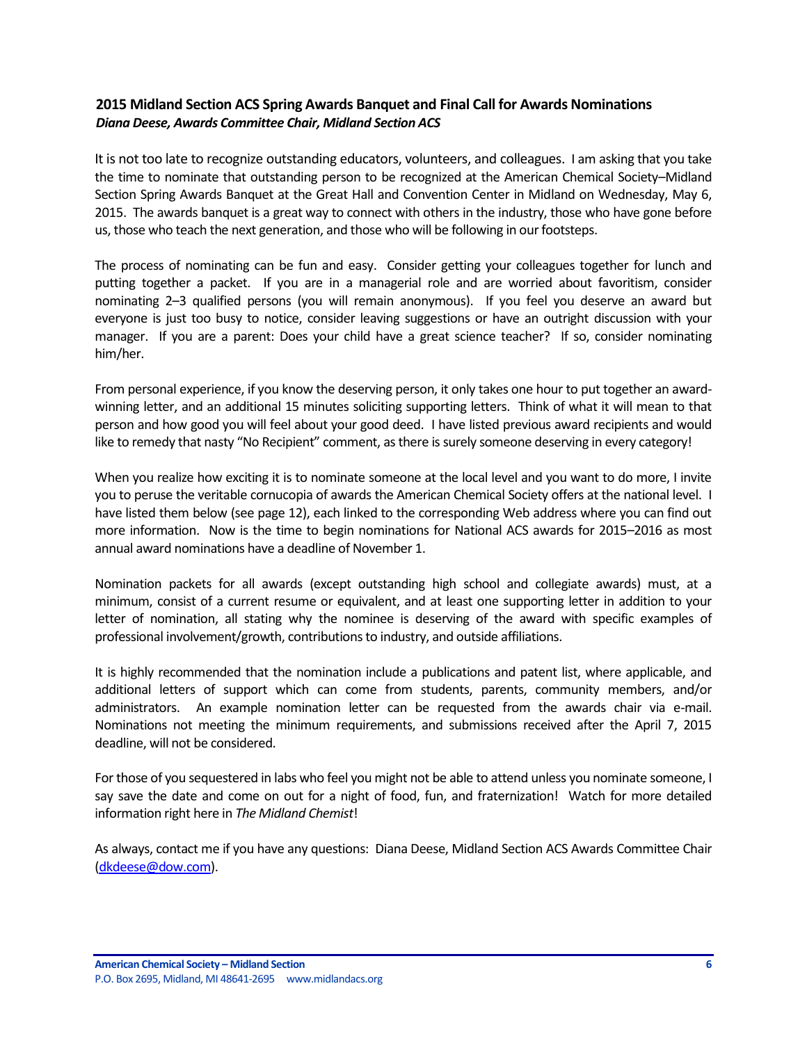## <span id="page-5-0"></span>**2015 Midland Section ACS Spring Awards Banquet and Final Call for Awards Nominations** *Diana Deese, Awards Committee Chair, Midland Section ACS*

It is not too late to recognize outstanding educators, volunteers, and colleagues. I am asking that you take the time to nominate that outstanding person to be recognized at the American Chemical Society–Midland Section Spring Awards Banquet at the Great Hall and Convention Center in Midland on Wednesday, May 6, 2015. The awards banquet is a great way to connect with others in the industry, those who have gone before us, those who teach the next generation, and those who will be following in our footsteps.

The process of nominating can be fun and easy. Consider getting your colleagues together for lunch and putting together a packet. If you are in a managerial role and are worried about favoritism, consider nominating 2–3 qualified persons (you will remain anonymous). If you feel you deserve an award but everyone is just too busy to notice, consider leaving suggestions or have an outright discussion with your manager. If you are a parent: Does your child have a great science teacher? If so, consider nominating him/her.

From personal experience, if you know the deserving person, it only takes one hour to put together an awardwinning letter, and an additional 15 minutes soliciting supporting letters. Think of what it will mean to that person and how good you will feel about your good deed. I have listed previous award recipients and would like to remedy that nasty "No Recipient" comment, as there is surely someone deserving in every category!

When you realize how exciting it is to nominate someone at the local level and you want to do more, I invite you to peruse the veritable cornucopia of awards the American Chemical Society offers at the national level. I have listed them below (see page 12), each linked to the corresponding Web address where you can find out more information. Now is the time to begin nominations for National ACS awards for 2015–2016 as most annual award nominations have a deadline of November 1.

Nomination packets for all awards (except outstanding high school and collegiate awards) must, at a minimum, consist of a current resume or equivalent, and at least one supporting letter in addition to your letter of nomination, all stating why the nominee is deserving of the award with specific examples of professional involvement/growth, contributions to industry, and outside affiliations.

It is highly recommended that the nomination include a publications and patent list, where applicable, and additional letters of support which can come from students, parents, community members, and/or administrators. An example nomination letter can be requested from the awards chair via e-mail. Nominations not meeting the minimum requirements, and submissions received after the April 7, 2015 deadline, will not be considered.

For those of you sequestered in labs who feel you might not be able to attend unless you nominate someone, I say save the date and come on out for a night of food, fun, and fraternization! Watch for more detailed information right here in *The Midland Chemist*!

As always, contact me if you have any questions: Diana Deese, Midland Section ACS Awards Committee Chair [\(dkdeese@dow.com\)](mailto:dkdeese@dow.com).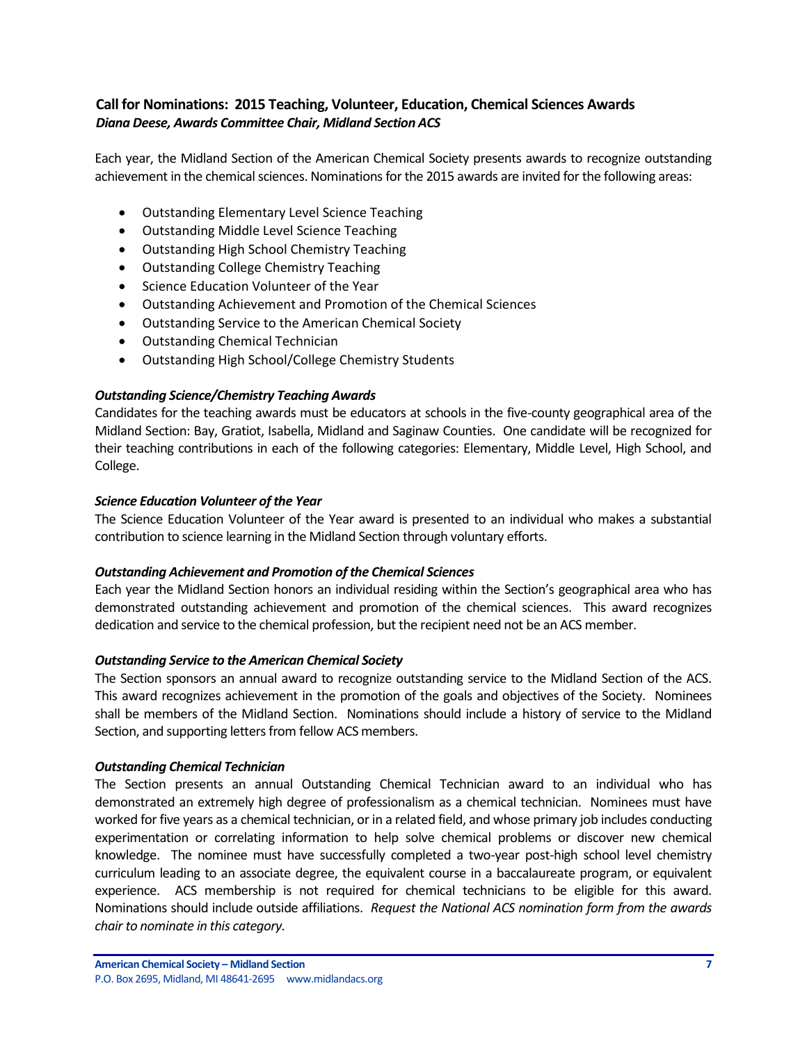## <span id="page-6-0"></span>**Call for Nominations: 2015 Teaching, Volunteer, Education, Chemical Sciences Awards** *Diana Deese, Awards Committee Chair, Midland Section ACS*

Each year, the Midland Section of the American Chemical Society presents awards to recognize outstanding achievement in the chemical sciences. Nominations for the 2015 awards are invited for the following areas:

- Outstanding Elementary Level Science Teaching
- Outstanding Middle Level Science Teaching
- Outstanding High School Chemistry Teaching
- Outstanding College Chemistry Teaching
- Science Education Volunteer of the Year
- Outstanding Achievement and Promotion of the Chemical Sciences
- Outstanding Service to the American Chemical Society
- Outstanding Chemical Technician
- Outstanding High School/College Chemistry Students

## *Outstanding Science/Chemistry Teaching Awards*

Candidates for the teaching awards must be educators at schools in the five-county geographical area of the Midland Section: Bay, Gratiot, Isabella, Midland and Saginaw Counties. One candidate will be recognized for their teaching contributions in each of the following categories: Elementary, Middle Level, High School, and College.

#### *Science Education Volunteer of the Year*

The Science Education Volunteer of the Year award is presented to an individual who makes a substantial contribution to science learning in the Midland Section through voluntary efforts.

## *Outstanding Achievement and Promotion of the Chemical Sciences*

Each year the Midland Section honors an individual residing within the Section's geographical area who has demonstrated outstanding achievement and promotion of the chemical sciences. This award recognizes dedication and service to the chemical profession, but the recipient need not be an ACS member.

## *Outstanding Service to the American Chemical Society*

The Section sponsors an annual award to recognize outstanding service to the Midland Section of the ACS. This award recognizes achievement in the promotion of the goals and objectives of the Society. Nominees shall be members of the Midland Section. Nominations should include a history of service to the Midland Section, and supporting letters from fellow ACS members.

#### *Outstanding Chemical Technician*

The Section presents an annual Outstanding Chemical Technician award to an individual who has demonstrated an extremely high degree of professionalism as a chemical technician. Nominees must have worked for five years as a chemical technician, or in a related field, and whose primary job includes conducting experimentation or correlating information to help solve chemical problems or discover new chemical knowledge. The nominee must have successfully completed a two-year post-high school level chemistry curriculum leading to an associate degree, the equivalent course in a baccalaureate program, or equivalent experience. ACS membership is not required for chemical technicians to be eligible for this award. Nominations should include outside affiliations. *Request the National ACS nomination form from the awards chair to nominate in this category.*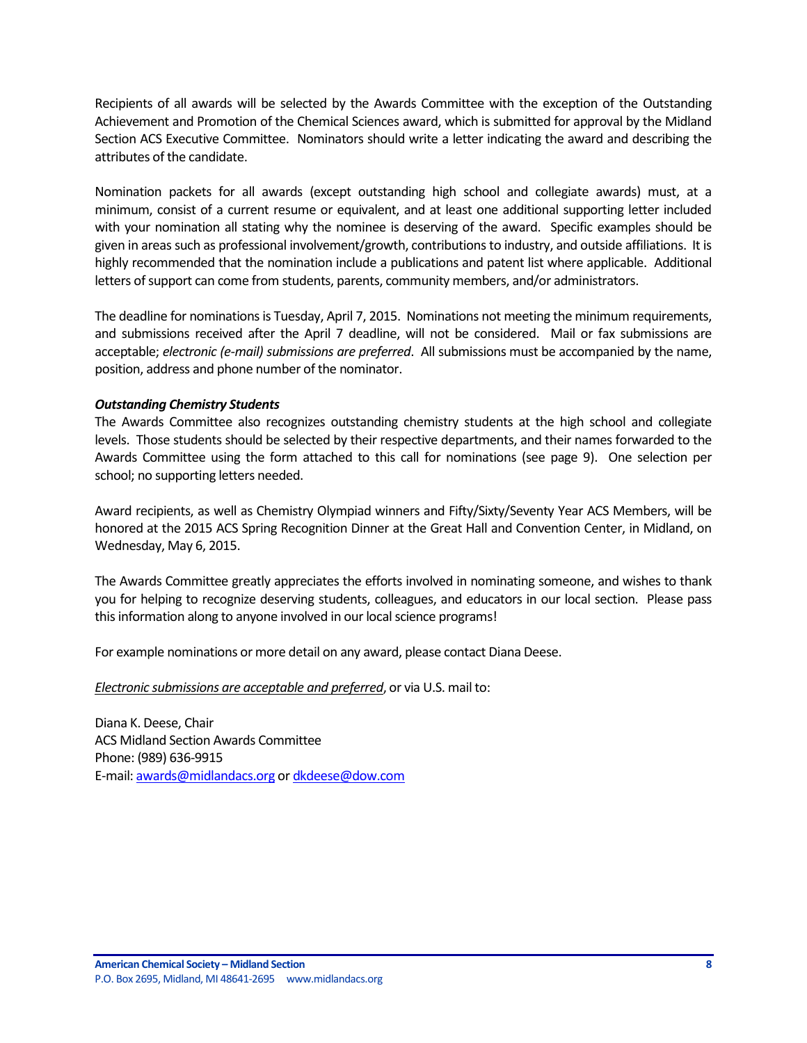Recipients of all awards will be selected by the Awards Committee with the exception of the Outstanding Achievement and Promotion of the Chemical Sciences award, which is submitted for approval by the Midland Section ACS Executive Committee. Nominators should write a letter indicating the award and describing the attributes of the candidate.

Nomination packets for all awards (except outstanding high school and collegiate awards) must, at a minimum, consist of a current resume or equivalent, and at least one additional supporting letter included with your nomination all stating why the nominee is deserving of the award. Specific examples should be given in areas such as professional involvement/growth, contributions to industry, and outside affiliations. It is highly recommended that the nomination include a publications and patent list where applicable. Additional letters of support can come from students, parents, community members, and/or administrators.

The deadline for nominations is Tuesday, April 7, 2015. Nominations not meeting the minimum requirements, and submissions received after the April 7 deadline, will not be considered. Mail or fax submissions are acceptable; *electronic (e-mail) submissions are preferred*. All submissions must be accompanied by the name, position, address and phone number of the nominator.

#### *Outstanding Chemistry Students*

The Awards Committee also recognizes outstanding chemistry students at the high school and collegiate levels. Those students should be selected by their respective departments, and their names forwarded to the Awards Committee using the form attached to this call for nominations (see page 9). One selection per school; no supporting letters needed.

Award recipients, as well as Chemistry Olympiad winners and Fifty/Sixty/Seventy Year ACS Members, will be honored at the 2015 ACS Spring Recognition Dinner at the Great Hall and Convention Center, in Midland, on Wednesday, May 6, 2015.

The Awards Committee greatly appreciates the efforts involved in nominating someone, and wishes to thank you for helping to recognize deserving students, colleagues, and educators in our local section. Please pass this information along to anyone involved in our local science programs!

For example nominations or more detail on any award, please contact Diana Deese.

#### *Electronic submissions are acceptable and preferred*, or via U.S. mail to:

Diana K. Deese, Chair ACS Midland Section Awards Committee Phone: (989) 636-9915 E-mail[: awards@midlandacs.org](mailto:awards@midlandacs.org) o[r dkdeese@dow.com](mailto:dkdeese@dow.com)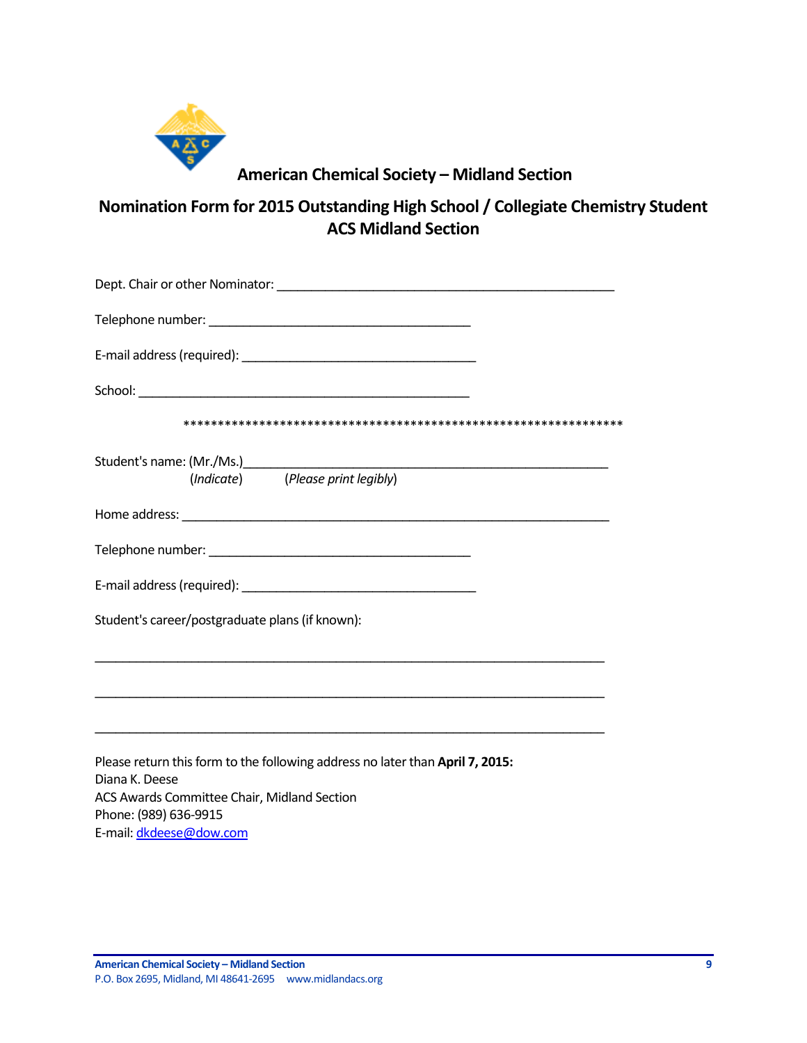

# **American Chemical Society – Midland Section**

**Nomination Form for 2015 Outstanding High School / Collegiate Chemistry Student ACS Midland Section**

| (Indicate) (Please print legibly)                                                               |
|-------------------------------------------------------------------------------------------------|
|                                                                                                 |
|                                                                                                 |
|                                                                                                 |
| Student's career/postgraduate plans (if known):                                                 |
|                                                                                                 |
| ,我们也不能在这里的时候,我们也不能在这里的时候,我们也不能会在这里的时候,我们也不能会在这里的时候,我们也不能会在这里的时候,我们也不能会在这里的时候,我们也不               |
| Please return this form to the following address no later than April 7, 2015:<br>Diana K. Deese |
| ACS Awards Committee Chair, Midland Section<br>Phone: (989) 636-9915                            |

E-mail[: dkdeese@dow.com](mailto:dkdeese@dow.com)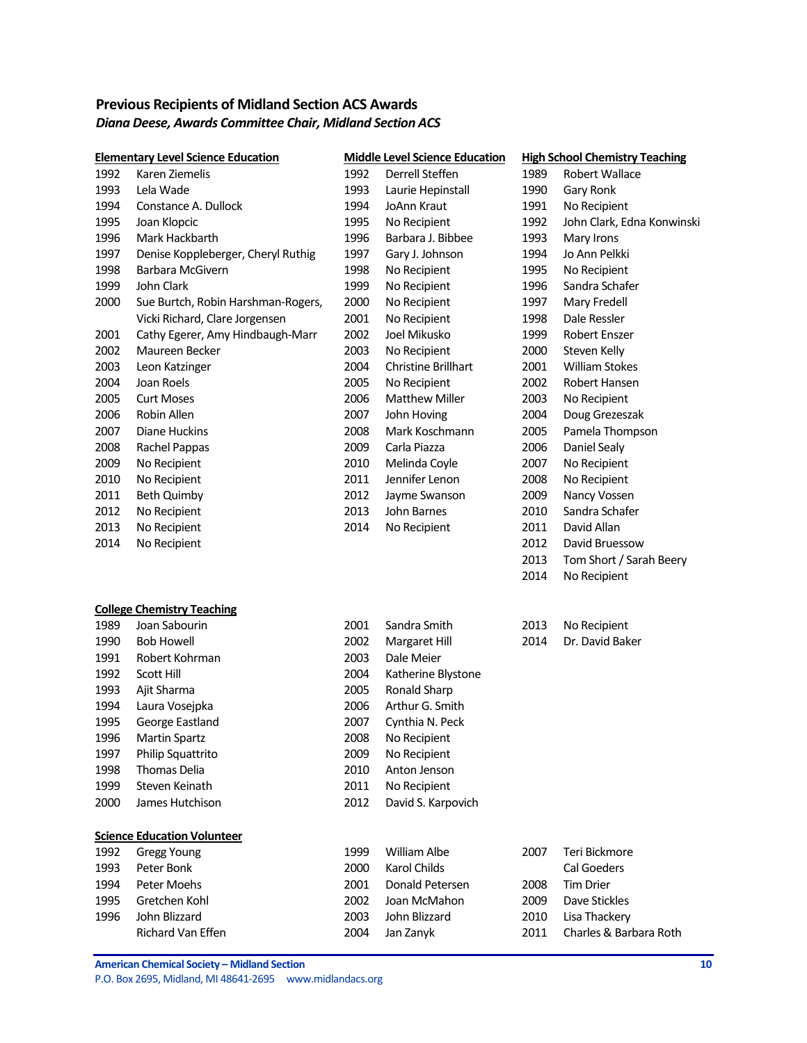# <span id="page-9-0"></span>**Previous Recipients of Midland Section ACS Awards** *Diana Deese, Awards Committee Chair, Midland Section ACS*

|      | <b>Elementary Level Science Education</b> |      | <b>Middle Level Science Education</b> |      | <b>High School Chemistry Teaching</b> |
|------|-------------------------------------------|------|---------------------------------------|------|---------------------------------------|
| 1992 | Karen Ziemelis                            | 1992 | Derrell Steffen                       | 1989 | <b>Robert Wallace</b>                 |
| 1993 | Lela Wade                                 | 1993 | Laurie Hepinstall                     | 1990 | Gary Ronk                             |
| 1994 | Constance A. Dullock                      | 1994 | JoAnn Kraut                           | 1991 | No Recipient                          |
| 1995 | Joan Klopcic                              | 1995 | No Recipient                          | 1992 | John Clark, Edna Konwinski            |
| 1996 | Mark Hackbarth                            | 1996 | Barbara J. Bibbee                     | 1993 | Mary Irons                            |
| 1997 | Denise Koppleberger, Cheryl Ruthig        | 1997 | Gary J. Johnson                       | 1994 | Jo Ann Pelkki                         |
| 1998 | Barbara McGivern                          | 1998 | No Recipient                          | 1995 | No Recipient                          |
| 1999 | John Clark                                | 1999 | No Recipient                          | 1996 | Sandra Schafer                        |
| 2000 | Sue Burtch, Robin Harshman-Rogers,        | 2000 | No Recipient                          | 1997 | Mary Fredell                          |
|      | Vicki Richard, Clare Jorgensen            | 2001 | No Recipient                          | 1998 | Dale Ressler                          |
| 2001 | Cathy Egerer, Amy Hindbaugh-Marr          | 2002 | Joel Mikusko                          | 1999 | Robert Enszer                         |
| 2002 | Maureen Becker                            | 2003 | No Recipient                          | 2000 | Steven Kelly                          |
| 2003 | Leon Katzinger                            | 2004 | Christine Brillhart                   | 2001 | <b>William Stokes</b>                 |
| 2004 | Joan Roels                                | 2005 | No Recipient                          | 2002 | Robert Hansen                         |
| 2005 | <b>Curt Moses</b>                         | 2006 | <b>Matthew Miller</b>                 | 2003 | No Recipient                          |
| 2006 | Robin Allen                               | 2007 | John Hoving                           | 2004 | Doug Grezeszak                        |
| 2007 | Diane Huckins                             | 2008 | Mark Koschmann                        | 2005 | Pamela Thompson                       |
| 2008 | Rachel Pappas                             | 2009 | Carla Piazza                          | 2006 | Daniel Sealy                          |
| 2009 | No Recipient                              | 2010 | Melinda Coyle                         | 2007 | No Recipient                          |
| 2010 | No Recipient                              | 2011 | Jennifer Lenon                        | 2008 | No Recipient                          |
| 2011 | <b>Beth Quimby</b>                        | 2012 | Jayme Swanson                         | 2009 | Nancy Vossen                          |
| 2012 | No Recipient                              | 2013 | John Barnes                           | 2010 | Sandra Schafer                        |
| 2013 | No Recipient                              | 2014 | No Recipient                          | 2011 | David Allan                           |
| 2014 | No Recipient                              |      |                                       | 2012 | David Bruessow                        |
|      |                                           |      |                                       | 2013 | Tom Short / Sarah Beery               |
|      |                                           |      |                                       | 2014 | No Recipient                          |
|      | <b>College Chemistry Teaching</b>         |      |                                       |      |                                       |
| 1989 | Joan Sabourin                             | 2001 | Sandra Smith                          | 2013 | No Recipient                          |
| 1990 | <b>Bob Howell</b>                         | 2002 | Margaret Hill                         | 2014 | Dr. David Baker                       |
| 1991 | Robert Kohrman                            | 2003 | Dale Meier                            |      |                                       |
| 1992 | <b>Scott Hill</b>                         | 2004 | Katherine Blystone                    |      |                                       |
| 1993 | Ajit Sharma                               | 2005 | Ronald Sharp                          |      |                                       |
| 1994 | Laura Vosejpka                            | 2006 | Arthur G. Smith                       |      |                                       |
| 1995 | George Eastland                           | 2007 | Cynthia N. Peck                       |      |                                       |
| 1996 | <b>Martin Spartz</b>                      | 2008 | No Recipient                          |      |                                       |
| 1997 | Philip Squattrito                         | 2009 | No Recipient                          |      |                                       |
| 1998 | Thomas Delia                              | 2010 | Anton Jenson                          |      |                                       |
| 1999 | Steven Keinath                            | 2011 | No Recipient                          |      |                                       |
| 2000 | James Hutchison                           | 2012 | David S. Karpovich                    |      |                                       |
|      | <b>Science Education Volunteer</b>        |      |                                       |      |                                       |
| 1992 | <b>Gregg Young</b>                        | 1999 | William Albe                          | 2007 | Teri Bickmore                         |
| 1993 | Peter Bonk                                | 2000 | Karol Childs                          |      | Cal Goeders                           |
| 1994 | Peter Moehs                               | 2001 | Donald Petersen                       | 2008 | <b>Tim Drier</b>                      |
| 1995 | Gretchen Kohl                             | 2002 | Joan McMahon                          | 2009 | Dave Stickles                         |
| 1996 | John Blizzard                             | 2003 | John Blizzard                         | 2010 | Lisa Thackery                         |
|      | Richard Van Effen                         | 2004 | Jan Zanyk                             | 2011 | Charles & Barbara Roth                |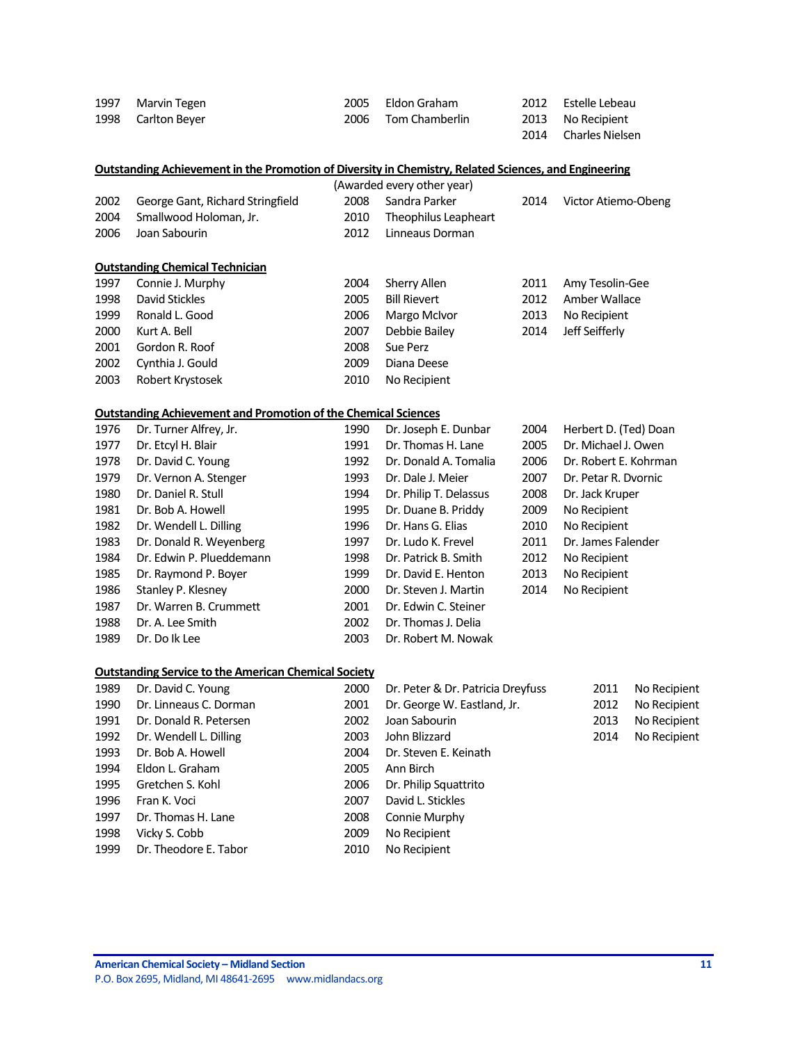| 1997 | Marvin Tegen       | 2005 Eldon Graham   | 2012 Estelle Lebeau  |
|------|--------------------|---------------------|----------------------|
|      | 1998 Carlton Beyer | 2006 Tom Chamberlin | 2013 No Recipient    |
|      |                    |                     | 2014 Charles Nielsen |

|      | <b>Outstanding Achievement in the Promotion of Diversity in Chemistry, Related Sciences, and Engineering</b> |      |                            |      |                       |
|------|--------------------------------------------------------------------------------------------------------------|------|----------------------------|------|-----------------------|
|      |                                                                                                              |      | (Awarded every other year) |      |                       |
| 2002 | George Gant, Richard Stringfield                                                                             | 2008 | Sandra Parker              | 2014 | Victor Atiemo-Obeng   |
| 2004 | Smallwood Holoman, Jr.                                                                                       | 2010 | Theophilus Leapheart       |      |                       |
| 2006 | Joan Sabourin                                                                                                | 2012 | Linneaus Dorman            |      |                       |
|      | <b>Outstanding Chemical Technician</b>                                                                       |      |                            |      |                       |
| 1997 | Connie J. Murphy                                                                                             | 2004 | Sherry Allen               | 2011 | Amy Tesolin-Gee       |
| 1998 | <b>David Stickles</b>                                                                                        | 2005 | <b>Bill Rievert</b>        | 2012 | Amber Wallace         |
| 1999 | Ronald L. Good                                                                                               | 2006 | Margo McIvor               | 2013 | No Recipient          |
| 2000 | Kurt A. Bell                                                                                                 | 2007 | Debbie Bailey              | 2014 | Jeff Seifferly        |
| 2001 | Gordon R. Roof                                                                                               | 2008 | Sue Perz                   |      |                       |
| 2002 | Cynthia J. Gould                                                                                             | 2009 | Diana Deese                |      |                       |
| 2003 | Robert Krystosek                                                                                             | 2010 | No Recipient               |      |                       |
|      | <b>Outstanding Achievement and Promotion of the Chemical Sciences</b>                                        |      |                            |      |                       |
| 1976 | Dr. Turner Alfrey, Jr.                                                                                       | 1990 | Dr. Joseph E. Dunbar       | 2004 | Herbert D. (Ted) Doan |
| 1977 | Dr. Etcyl H. Blair                                                                                           | 1991 | Dr. Thomas H. Lane         | 2005 | Dr. Michael J. Owen   |
| 1978 | Dr. David C. Young                                                                                           | 1992 | Dr. Donald A. Tomalia      | 2006 | Dr. Robert E. Kohrman |
| 1979 | Dr. Vernon A. Stenger                                                                                        | 1993 | Dr. Dale J. Meier          | 2007 | Dr. Petar R. Dvornic  |
| 1980 | Dr. Daniel R. Stull                                                                                          | 1994 | Dr. Philip T. Delassus     | 2008 | Dr. Jack Kruper       |
| 1981 | Dr. Bob A. Howell                                                                                            | 1995 | Dr. Duane B. Priddy        | 2009 | No Recipient          |
| 1982 | Dr. Wendell L. Dilling                                                                                       | 1996 | Dr. Hans G. Elias          | 2010 | No Recipient          |
| 1983 | Dr. Donald R. Weyenberg                                                                                      | 1997 | Dr. Ludo K. Frevel         | 2011 | Dr. James Falender    |
| 1984 | Dr. Edwin P. Plueddemann                                                                                     | 1998 | Dr. Patrick B. Smith       | 2012 | No Recipient          |
| 1985 | Dr. Raymond P. Boyer                                                                                         | 1999 | Dr. David E. Henton        | 2013 | No Recinient          |

| 1977 | Dr. Etcyl H. Blair       | 1991 | Dr. Thomas H. Lane     | 2005 | Dr. Michael J. Ow  |
|------|--------------------------|------|------------------------|------|--------------------|
| 1978 | Dr. David C. Young       | 1992 | Dr. Donald A. Tomalia  | 2006 | Dr. Robert E. Koh  |
| 1979 | Dr. Vernon A. Stenger    | 1993 | Dr. Dale J. Meier      | 2007 | Dr. Petar R. Dvori |
| 1980 | Dr. Daniel R. Stull      | 1994 | Dr. Philip T. Delassus | 2008 | Dr. Jack Kruper    |
| 1981 | Dr. Bob A. Howell        | 1995 | Dr. Duane B. Priddy    | 2009 | No Recipient       |
| 1982 | Dr. Wendell L. Dilling   | 1996 | Dr. Hans G. Elias      | 2010 | No Recipient       |
| 1983 | Dr. Donald R. Weyenberg  | 1997 | Dr. Ludo K. Frevel     | 2011 | Dr. James Falend   |
| 1984 | Dr. Edwin P. Plueddemann | 1998 | Dr. Patrick B. Smith   | 2012 | No Recipient       |
| 1985 | Dr. Raymond P. Boyer     | 1999 | Dr. David E. Henton    | 2013 | No Recipient       |
| 1986 | Stanley P. Klesney       | 2000 | Dr. Steven J. Martin   | 2014 | No Recipient       |
| 1987 | Dr. Warren B. Crummett   | 2001 | Dr. Edwin C. Steiner   |      |                    |
| 1988 | Dr. A. Lee Smith         | 2002 | Dr. Thomas J. Delia    |      |                    |
| 1989 | Dr. Do lk Lee            | 2003 | Dr. Robert M. Nowak    |      |                    |
|      |                          |      |                        |      |                    |

#### **Outstanding Service to the American Chemical Society**

| 1989 | Dr. David C. Young     | 2000 | Dr. Peter & Dr. Patricia Dreyfuss | 2011 | No Recipient |
|------|------------------------|------|-----------------------------------|------|--------------|
| 1990 | Dr. Linneaus C. Dorman | 2001 | Dr. George W. Eastland, Jr.       | 2012 | No Recipient |
| 1991 | Dr. Donald R. Petersen | 2002 | Joan Sabourin                     | 2013 | No Recipient |
| 1992 | Dr. Wendell L. Dilling | 2003 | John Blizzard                     | 2014 | No Recipient |
| 1993 | Dr. Bob A. Howell      | 2004 | Dr. Steven E. Keinath             |      |              |
| 1994 | Eldon L. Graham        | 2005 | Ann Birch                         |      |              |
| 1995 | Gretchen S. Kohl       | 2006 | Dr. Philip Squattrito             |      |              |
| 1996 | Fran K. Voci           | 2007 | David L. Stickles                 |      |              |
| 1997 | Dr. Thomas H. Lane     | 2008 | Connie Murphy                     |      |              |
| 1998 | Vicky S. Cobb          | 2009 | No Recipient                      |      |              |
| 1999 | Dr. Theodore E. Tabor  | 2010 | No Recipient                      |      |              |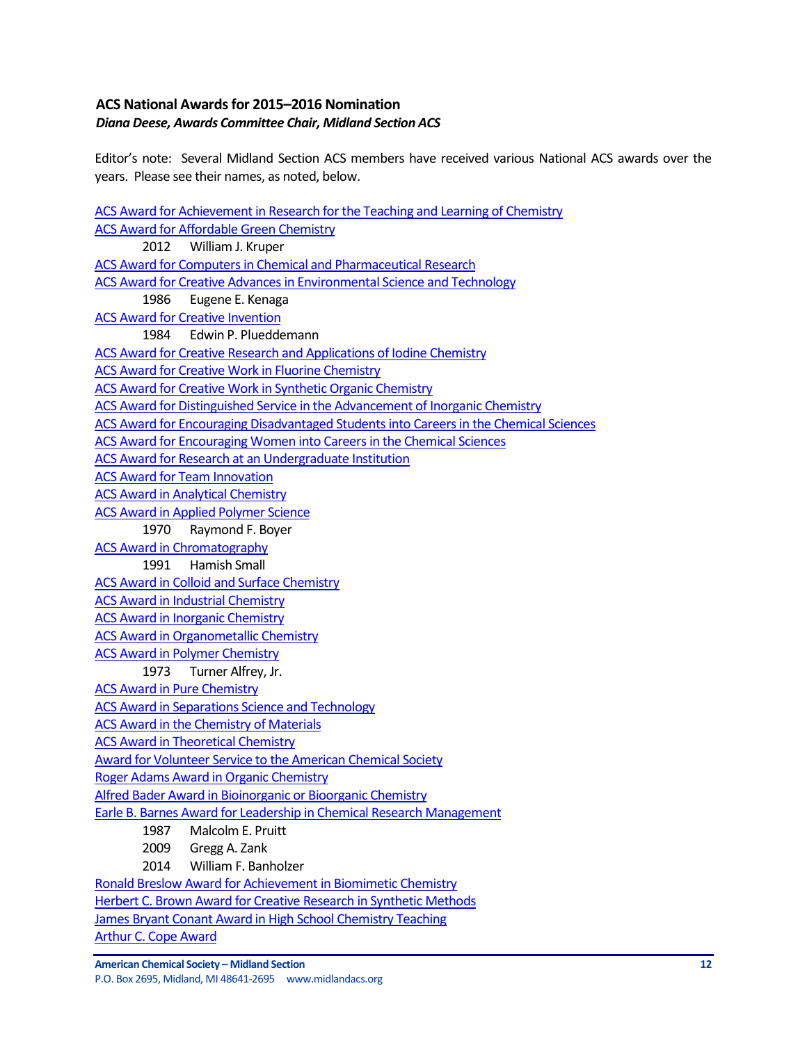# <span id="page-11-0"></span>**ACS National Awards for 2015–2016 Nomination** *Diana Deese, Awards Committee Chair, Midland Section ACS*

Editor's note: Several Midland Section ACS members have received various National ACS awards over the years. Please see their names, as noted, below.

[ACS Award for Achievement in Research for the Teaching and Learning of Chemistry](http://www.acs.org/content/acs/en/funding-and-awards/awards/national/bytopic/acs-award-for-achievement-in-research-for-the-teaching-and-learning-of-chemistry.html) [ACS Award for Affordable Green Chemistry](http://www.acs.org/content/acs/en/funding-and-awards/awards/national/bytopic/acs-award-for-affordable-green-chemistry.html) 2012 William J. Kruper [ACS Award for Computers in Chemical and Pharmaceutical Research](http://www.acs.org/content/acs/en/funding-and-awards/awards/national/bytopic/acs-award-for-computers-in-chemical-and-pharmaceutical-research.html) [ACS Award for Creative Advances in Environmental Science and](http://www.acs.org/content/acs/en/funding-and-awards/awards/national/bytopic/acs-award-for-creative-advances-in-environmental-science-and-technology.html) Technology 1986 Eugene E. Kenaga [ACS Award for Creative Invention](http://www.acs.org/content/acs/en/funding-and-awards/awards/national/bytopic/acs-award-for-creative-invention.html) 1984 Edwin P. Plueddemann [ACS Award for Creative Research and Applications of Iodine Chemistry](http://www.acs.org/content/acs/en/funding-and-awards/awards/national/bytopic/acs-award-for-creative-research-and-applications-of-iodine-chemistry.html) [ACS Award for Creative Work in Fluorine Chemistry](http://www.acs.org/content/acs/en/funding-and-awards/awards/national/bytopic/acs-award-for-creative-work-in-fluorine-chemistry.html) [ACS Award for Creative Work in Synthetic Organic Chemistry](http://www.acs.org/content/acs/en/funding-and-awards/awards/national/bytopic/acs-award-for-creative-work-in-synthetic-organic-chemistry.html) [ACS Award for Distinguished Service in the Advancement of Inorganic Chemistry](http://www.acs.org/content/acs/en/funding-and-awards/awards/national/bytopic/acs-award-for-distinguished-service-in-the-advancement-of-lnorganic-chemistry.html) [ACS Award for Encouraging Disadvantaged Students into Careers in the Chemical Sciences](http://www.acs.org/content/acs/en/funding-and-awards/awards/national/bytopic/acs-award-for-encouraging-disadvantaged-students-into-careers-in-the-chemical-sciences.html) [ACS Award for Encouraging Women into Careers in the Chemical Sciences](http://www.acs.org/content/acs/en/funding-and-awards/awards/national/bytopic/acs-award-for-encouraging-women-into-careers-in-the-chemical-sciences.html) [ACS Award for Research at an Undergraduate Institution](http://www.acs.org/content/acs/en/funding-and-awards/awards/national/bytopic/acs-award-for-research-at-an-undergraduate-institution.html) [ACS Award for Team Innovation](http://www.acs.org/content/acs/en/funding-and-awards/awards/national/bytopic/acs-award-for-team-innovation.html) [ACS Award in Analytical Chemistry](http://www.acs.org/content/acs/en/funding-and-awards/awards/national/bytopic/acs-award-in-analytical-chemistry.html) **[ACS Award in Applied Polymer Science](http://www.acs.org/content/acs/en/funding-and-awards/awards/national/bytopic/acs-award-in-applied-polymer-science.html)** 1970 Raymond F. Boyer [ACS Award in Chromatography](http://www.acs.org/content/acs/en/funding-and-awards/awards/national/bytopic/acs-award-in-chromatography.html) 1991 Hamish Small [ACS Award in Colloid and Surface Chemistry](http://www.acs.org/content/acs/en/funding-and-awards/awards/national/bytopic/acs-award-in-colloid-and-surface-chemistry.html) [ACS Award in Industrial Chemistry](http://www.acs.org/content/acs/en/funding-and-awards/awards/national/bytopic/acs-award-in-industrial-chemistry.html) [ACS Award in Inorganic Chemistry](http://www.acs.org/content/acs/en/funding-and-awards/awards/national/bytopic/acs-award-in-inorganic-chemistry.html) [ACS Award in Organometallic Chemistry](http://www.acs.org/content/acs/en/funding-and-awards/awards/national/bytopic/acs-award-in-organometallic-chemistry.html) [ACS Award in Polymer Chemistry](http://www.acs.org/content/acs/en/funding-and-awards/awards/national/bytopic/acs-award-in-polymer-chemistry.html) 1973 Turner Alfrey, Jr. [ACS Award in Pure Chemistry](http://www.acs.org/content/acs/en/funding-and-awards/awards/national/bytopic/acs-award-in-pure-chemistry.html) [ACS Award in Separations Science and Technology](http://www.acs.org/content/acs/en/funding-and-awards/awards/national/bytopic/acs-award-in-separations-science-and-technology.html) [ACS Award in the Chemistry of Materials](http://www.acs.org/content/acs/en/funding-and-awards/awards/national/bytopic/acs-award-in-the-chemistry-of-materials.html) [ACS Award in Theoretical Chemistry](http://www.acs.org/content/acs/en/funding-and-awards/awards/national/bytopic/acs-award-in-theoretical-chemistry.html) [Award for Volunteer Service to the American Chemical Society](http://www.acs.org/content/acs/en/funding-and-awards/awards/national/bytopic/award-for-volunteer-service-to-the-american-chemical-society.html) [Roger Adams Award in Organic Chemistry](http://www.acs.org/content/acs/en/funding-and-awards/awards/national/bytopic/roger-adams-award-in-organic-chemistry.html) [Alfred Bader Award in Bioinorganic or Bioorganic Chemistry](http://www.acs.org/content/acs/en/funding-and-awards/awards/national/bytopic/alfred-bader-award-in-bioinorganic-or-bioorganic-chemistry.html) [Earle B. Barnes Award for Leadership in Chemical Research Management](http://www.acs.org/content/acs/en/funding-and-awards/awards/national/bytopic/earle-b-barnes-award-for-leadership-in-chemical-research-management.html) 1987 Malcolm E. Pruitt 2009 Gregg A. Zank 2014 William F. Banholzer [Ronald Breslow Award for Achievement in Biomimetic Chemistry](http://www.acs.org/content/acs/en/funding-and-awards/awards/national/bytopic/ronald-breslow-award-for-achievement-in-biomimetic-chemistry.html) [Herbert C. Brown Award for Creative Research in Synthetic Methods](http://www.acs.org/content/acs/en/funding-and-awards/awards/national/bytopic/herbert-c-brown-award-for-creative-research-in-synthetic-methods.html) [James Bryant Conant Award in High School Chemistry Teaching](http://www.acs.org/content/acs/en/funding-and-awards/awards/national/bytopic/james-bryant-conant-award-in-high-school-chemistry-teaching.html) [Arthur C. Cope Award](http://www.acs.org/content/acs/en/funding-and-awards/awards/national/bytopic/arthur-c-cope-award.html)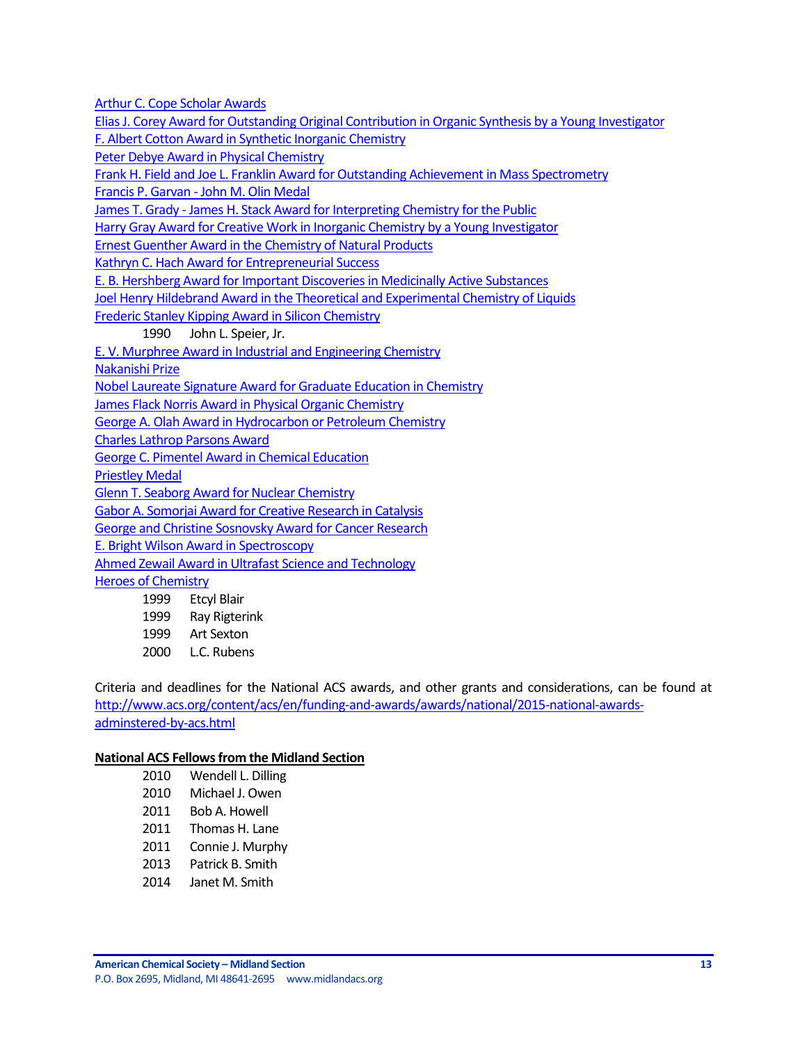[Arthur C. Cope Scholar Awards](http://www.acs.org/content/acs/en/funding-and-awards/awards/national/bytopic/arthur-c-cope-scholar-awards.html)

[Elias J. Corey Award for Outstanding Original Contribution in Organic Synthesis by a Young Investigator](http://www.acs.org/content/acs/en/funding-and-awards/awards/national/bytopic/elias-j-corey-award-for-outstanding-original-contribution-in-organic-synthesis-by-a-young-investigator.html) [F. Albert Cotton Award in Synthetic Inorganic Chemistry](http://www.acs.org/content/acs/en/funding-and-awards/awards/national/bytopic/f-albert-cotton-award-in-synthetic-inorganic-chemistry.html)

[Peter Debye Award in Physical Chemistry](http://www.acs.org/content/acs/en/funding-and-awards/awards/national/bytopic/peter-debye-award-in-physical-chemistry.html)

[Frank H. Field and Joe L. Franklin Award for Outstanding Achievement in Mass Spectrometry](http://www.acs.org/content/acs/en/funding-and-awards/awards/national/bytopic/frank-h-field-and-joe-l-franklin-award-for-outstanding-achievement-in-mass-spectrometry.html)

Francis P. Garvan - [John M. Olin Medal](http://www.acs.org/content/acs/en/funding-and-awards/awards/national/bytopic/francis-p-garvan-john-m-olin-medal.html)

James T. Grady - [James H. Stack Award for Interpreting Chemistry for the Public](http://www.acs.org/content/acs/en/funding-and-awards/awards/national/bytopic/james-t-grady-james-h-stack-award-for-interpreting-chemistry-for-the-public.html)

[Harry Gray Award for Creative Work in Inorganic Chemistry by a Young Investigator](http://www.acs.org/content/acs/en/funding-and-awards/awards/national/bytopic/harry-gray-award-for-creative-work-in-inorganic-chemistry-by-a-y.html)

[Ernest Guenther Award in the Chemistry of Natural Products](http://www.acs.org/content/acs/en/funding-and-awards/awards/national/bytopic/ernest-guenther-award-in-the-chemistry-of-natural-products.html)

[Kathryn C. Hach Award for Entrepreneurial Success](http://www.acs.org/content/acs/en/funding-and-awards/awards/national/bytopic/entrepreneurial-success.html)

[E. B. Hershberg Award for Important Discoveries in Medicinally Active Substances](http://www.acs.org/content/acs/en/funding-and-awards/awards/national/bytopic/e-b-hershberg-award-for-important-discoveries-in-medicinally-active-substances.html)

[Joel Henry Hildebrand Award in the Theoretical and Experimental Chemistry of Liquids](http://www.acs.org/content/acs/en/funding-and-awards/awards/national/bytopic/joel-henry-hildebrand-award-in-the-theoretical-and-experimental-chemistry-of-liquids.html)

[Frederic Stanley Kipping Award in Silicon Chemistry](http://www.acs.org/content/acs/en/funding-and-awards/awards/national/bytopic/frederic-stanley-kipping-award-in-silicon-chemistry.html)

1990 John L. Speier, Jr.

[E. V. Murphree Award in Industrial and Engineering Chemistry](http://www.acs.org/content/acs/en/funding-and-awards/awards/national/bytopic/e-v-murphree-award-in-industrial-and-engineering-chemistry.html)

[Nakanishi Prize](http://www.acs.org/content/acs/en/funding-and-awards/awards/national/bytopic/nakanishi-prize.html)

[Nobel Laureate Signature Award for Graduate Education in Chemistry](http://www.acs.org/content/acs/en/funding-and-awards/awards/national/bytopic/nobel-laureate-signature-award-for-graduate-education-in-chemistry.html)

[James Flack Norris Award in Physical Organic Chemistry](http://www.acs.org/content/acs/en/funding-and-awards/awards/national/bytopic/james-flack-norris-award-in-physical-organic-chemistry.html)

[George A. Olah Award in Hydrocarbon or Petroleum Chemistry](http://www.acs.org/content/acs/en/funding-and-awards/awards/national/bytopic/george-a-olah-award-in-hydrocarbon-or-petroleum-chemistry.html)

[Charles Lathrop Parsons Award](http://www.acs.org/content/acs/en/funding-and-awards/awards/national/bytopic/charles-lathrop-parsons-award.html)

[George C. Pimentel Award in Chemical Education](http://www.acs.org/content/acs/en/funding-and-awards/awards/national/bytopic/george-c-pimentel-award-in-chemical-education.html)

[Priestley Medal](http://www.acs.org/content/acs/en/funding-and-awards/awards/national/bytopic/priestley-medal.html)

[Glenn T. Seaborg Award for Nuclear Chemistry](http://www.acs.org/content/acs/en/funding-and-awards/awards/national/bytopic/glenn-t-seaborg-award-for-nuclear-chemistry.html)

[Gabor A. Somorjai Award for Creative Research in Catalysis](http://www.acs.org/content/acs/en/funding-and-awards/awards/national/bytopic/gabor-a-somorjai-award-for-creative-research-in-catalysis.html)

[George and Christine Sosnovsky Award for Cancer Research](http://www.acs.org/content/acs/en/funding-and-awards/awards/national/bytopic/the-george-and-christine-sosnovsky-award-for-cancer-research.html)

[E. Bright Wilson Award in Spectroscopy](http://www.acs.org/content/acs/en/funding-and-awards/awards/national/bytopic/e-bright-wilson-award-in-spectroscopy.html)

[Ahmed Zewail Award in Ultrafast Science and Technology](http://www.acs.org/content/acs/en/funding-and-awards/awards/national/bytopic/the-ahmed-zewail-award-in-ultrafast-science-and-technology.html)

[Heroes of Chemistry](http://www.acs.org/content/acs/en/funding-and-awards/awards/industry/heroes.html)

1999 Etcyl Blair

1999 Ray Rigterink

1999 Art Sexton

2000 L.C. Rubens

Criteria and deadlines for the National ACS awards, and other grants and considerations, can be found at [http://www.acs.org/content/acs/en/funding-and-awards/awards/national/2015-national-awards](http://www.acs.org/content/acs/en/funding-and-awards/awards/national/2015-national-awards-adminstered-by-acs.html)[adminstered-by-acs.html](http://www.acs.org/content/acs/en/funding-and-awards/awards/national/2015-national-awards-adminstered-by-acs.html)

#### **National ACS Fellows from the Midland Section**

| 2010 | Wendell L. Dilling |
|------|--------------------|
| 2010 | Michael J. Owen    |
| 2011 | Bob A. Howell      |
| 2011 | Thomas H. Lane     |
| 2011 | Connie J. Murphy   |
| 2013 | Patrick B. Smith   |
| 2014 | Janet M. Smith     |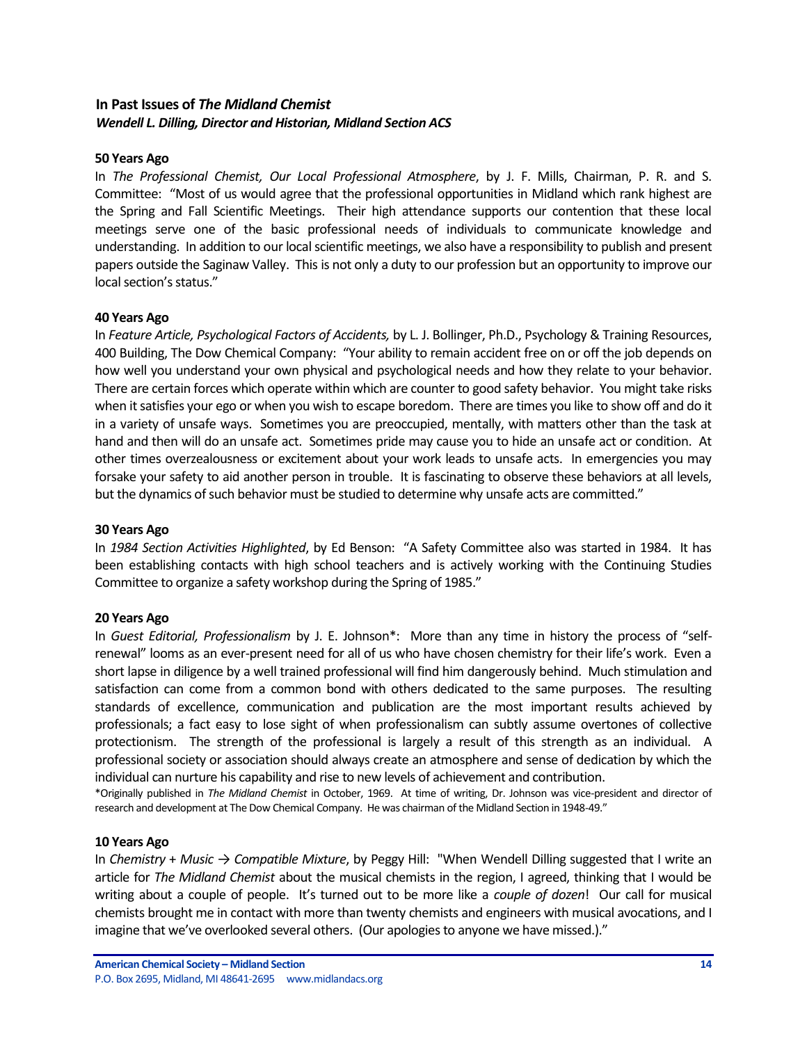## <span id="page-13-0"></span>**In Past Issues of** *The Midland Chemist Wendell L. Dilling, Director and Historian, Midland Section ACS*

#### **50 Years Ago**

In *The Professional Chemist, Our Local Professional Atmosphere*, by J. F. Mills, Chairman, P. R. and S. Committee: "Most of us would agree that the professional opportunities in Midland which rank highest are the Spring and Fall Scientific Meetings. Their high attendance supports our contention that these local meetings serve one of the basic professional needs of individuals to communicate knowledge and understanding. In addition to our local scientific meetings, we also have a responsibility to publish and present papers outside the Saginaw Valley. This is not only a duty to our profession but an opportunity to improve our local section's status."

#### **40 Years Ago**

In *Feature Article, Psychological Factors of Accidents,* by L. J. Bollinger, Ph.D., Psychology & Training Resources, 400 Building, The Dow Chemical Company: "Your ability to remain accident free on or off the job depends on how well you understand your own physical and psychological needs and how they relate to your behavior. There are certain forces which operate within which are counter to good safety behavior. You might take risks when it satisfies your ego or when you wish to escape boredom. There are times you like to show off and do it in a variety of unsafe ways. Sometimes you are preoccupied, mentally, with matters other than the task at hand and then will do an unsafe act. Sometimes pride may cause you to hide an unsafe act or condition. At other times overzealousness or excitement about your work leads to unsafe acts. In emergencies you may forsake your safety to aid another person in trouble. It is fascinating to observe these behaviors at all levels, but the dynamics of such behavior must be studied to determine why unsafe acts are committed."

#### **30 Years Ago**

In *1984 Section Activities Highlighted*, by Ed Benson: "A Safety Committee also was started in 1984. It has been establishing contacts with high school teachers and is actively working with the Continuing Studies Committee to organize a safety workshop during the Spring of 1985."

#### **20 Years Ago**

In *Guest Editorial, Professionalism* by J. E. Johnson\*: More than any time in history the process of "selfrenewal" looms as an ever-present need for all of us who have chosen chemistry for their life's work. Even a short lapse in diligence by a well trained professional will find him dangerously behind. Much stimulation and satisfaction can come from a common bond with others dedicated to the same purposes. The resulting standards of excellence, communication and publication are the most important results achieved by professionals; a fact easy to lose sight of when professionalism can subtly assume overtones of collective protectionism. The strength of the professional is largely a result of this strength as an individual. A professional society or association should always create an atmosphere and sense of dedication by which the individual can nurture his capability and rise to new levels of achievement and contribution.

\*Originally published in *The Midland Chemist* in October, 1969. At time of writing, Dr. Johnson was vice-president and director of research and development at The Dow Chemical Company. He was chairman of the Midland Section in 1948-49."

#### **10 Years Ago**

In *Chemistry* + *Music → Compatible Mixture*, by Peggy Hill: "When Wendell Dilling suggested that I write an article for *The Midland Chemist* about the musical chemists in the region, I agreed, thinking that I would be writing about a couple of people. It's turned out to be more like a *couple of dozen*! Our call for musical chemists brought me in contact with more than twenty chemists and engineers with musical avocations, and I imagine that we've overlooked several others. (Our apologies to anyone we have missed.)."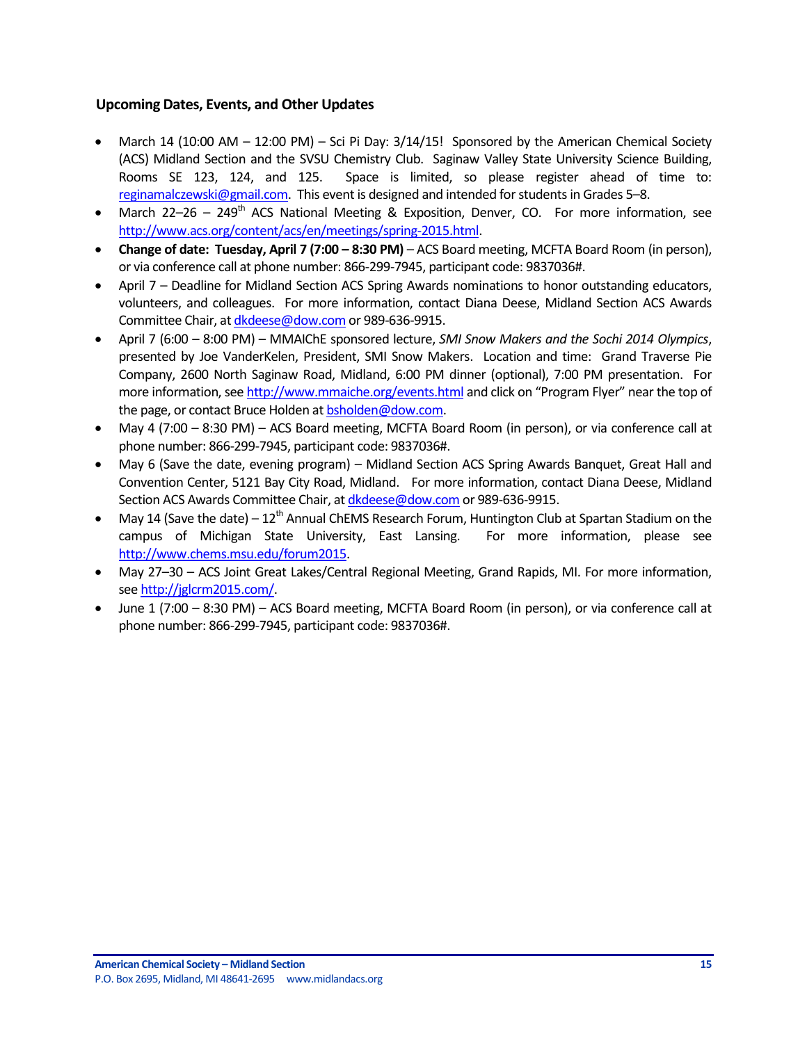## <span id="page-14-0"></span>**Upcoming Dates, Events, and Other Updates**

- March 14 (10:00 AM 12:00 PM) Sci Pi Day: 3/14/15! Sponsored by the American Chemical Society (ACS) Midland Section and the SVSU Chemistry Club. Saginaw Valley State University Science Building, Rooms SE 123, 124, and 125. Space is limited, so please register ahead of time to: [reginamalczewski@gmail.com.](mailto:reginamalczewski@gmail.com) This event is designed and intended for students in Grades 5–8.
- March 22–26 249<sup>th</sup> ACS National Meeting & Exposition, Denver, CO. For more information, see [http://www.acs.org/content/acs/en/meetings/spring-2015.html.](http://www.acs.org/content/acs/en/meetings/spring-2015.html)
- **Change of date: Tuesday, April 7 (7:00 8:30 PM) ACS Board meeting, MCFTA Board Room (in person),** or via conference call at phone number: 866-299-7945, participant code: 9837036#.
- April 7 Deadline for Midland Section ACS Spring Awards nominations to honor outstanding educators, volunteers, and colleagues. For more information, contact Diana Deese, Midland Section ACS Awards Committee Chair, a[t dkdeese@dow.com](mailto:dkdeese@dow.com) or 989-636-9915.
- April 7 (6:00 8:00 PM) MMAIChE sponsored lecture, *SMI Snow Makers and the Sochi 2014 Olympics*, presented by Joe VanderKelen, President, SMI Snow Makers. Location and time: Grand Traverse Pie Company, 2600 North Saginaw Road, Midland, 6:00 PM dinner (optional), 7:00 PM presentation. For more information, se[e http://www.mmaiche.org/events.html](http://www.mmaiche.org/events.html) and click on "Program Flyer" near the top of the page, or contact Bruce Holden a[t bsholden@dow.com.](mailto:bsholden@dow.com)
- May 4 (7:00 8:30 PM) ACS Board meeting, MCFTA Board Room (in person), or via conference call at phone number: 866-299-7945, participant code: 9837036#.
- May 6 (Save the date, evening program) Midland Section ACS Spring Awards Banquet, Great Hall and Convention Center, 5121 Bay City Road, Midland. For more information, contact Diana Deese, Midland Section ACS Awards Committee Chair, a[t dkdeese@dow.com](mailto:dkdeese@dow.com) or 989-636-9915.
- May 14 (Save the date)  $12^{th}$  Annual ChEMS Research Forum, Huntington Club at Spartan Stadium on the campus of Michigan State University, East Lansing. For more information, please see [http://www.chems.msu.edu/forum2015.](http://www.chems.msu.edu/forum2015)
- May 27–30 ACS Joint Great Lakes/Central Regional Meeting, Grand Rapids, MI. For more information, se[e http://jglcrm2015.com/.](http://jglcrm2015.com/)
- June 1 (7:00 8:30 PM) ACS Board meeting, MCFTA Board Room (in person), or via conference call at phone number: 866-299-7945, participant code: 9837036#.